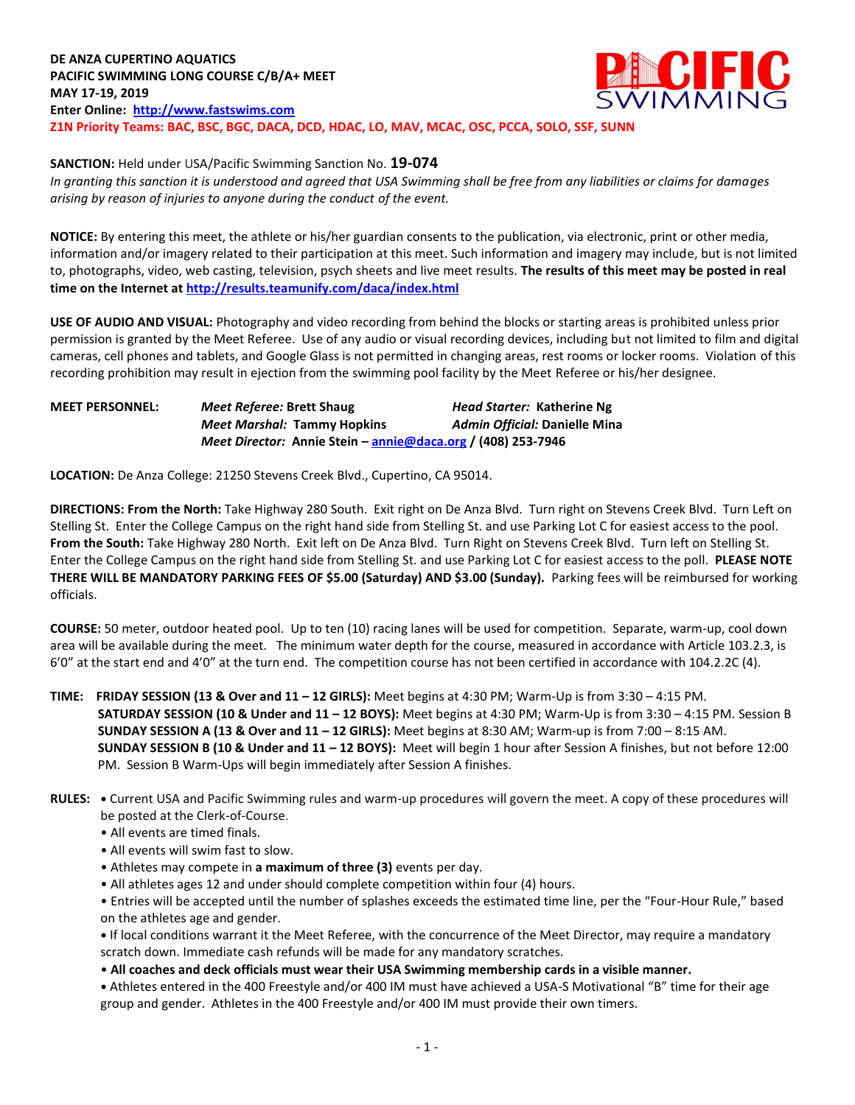**DE ANZA CUPERTINO AQUATICS PACIFIC SWIMMING LONG COURSE C/B/A+ MEET MAY 17-19, 2019 Enter Online: [http://www.fastswims.com](http://www.fastswims.com/) Z1N Priority Teams: BAC, BSC, BGC, DACA, DCD, HDAC, LO, MAV, MCAC, OSC, PCCA, SOLO, SSF, SUNN**



## **SANCTION:** Held under USA/Pacific Swimming Sanction No. **19-074**

*In granting this sanction it is understood and agreed that USA Swimming shall be free from any liabilities or claims for damages arising by reason of injuries to anyone during the conduct of the event.*

**NOTICE:** By entering this meet, the athlete or his/her guardian consents to the publication, via electronic, print or other media, information and/or imagery related to their participation at this meet. Such information and imagery may include, but is not limited to, photographs, video, web casting, television, psych sheets and live meet results. **The results of this meet may be posted in real time on the Internet a[t http://results.teamunify.com/daca/index.html](http://results.teamunify.com/daca/index.html)**

**USE OF AUDIO AND VISUAL:** Photography and video recording from behind the blocks or starting areas is prohibited unless prior permission is granted by the Meet Referee. Use of any audio or visual recording devices, including but not limited to film and digital cameras, cell phones and tablets, and Google Glass is not permitted in changing areas, rest rooms or locker rooms. Violation of this recording prohibition may result in ejection from the swimming pool facility by the Meet Referee or his/her designee.

| <b>MEET PERSONNEL:</b> | Meet Referee: Brett Shaug                                             | Head Starter: Katherine Ng    |  |  |  |  |
|------------------------|-----------------------------------------------------------------------|-------------------------------|--|--|--|--|
|                        | <b>Meet Marshal: Tammy Hopkins</b>                                    | Admin Official: Danielle Mina |  |  |  |  |
|                        | <i>Meet Director:</i> Annie Stein – $annie@daca.org$ / (408) 253-7946 |                               |  |  |  |  |

**LOCATION:** De Anza College: 21250 Stevens Creek Blvd., Cupertino, CA 95014.

**DIRECTIONS: From the North:** Take Highway 280 South. Exit right on De Anza Blvd. Turn right on Stevens Creek Blvd. Turn Left on Stelling St. Enter the College Campus on the right hand side from Stelling St. and use Parking Lot C for easiest access to the pool. **From the South:** Take Highway 280 North. Exit left on De Anza Blvd. Turn Right on Stevens Creek Blvd. Turn left on Stelling St. Enter the College Campus on the right hand side from Stelling St. and use Parking Lot C for easiest access to the poll. **PLEASE NOTE THERE WILL BE MANDATORY PARKING FEES OF \$5.00 (Saturday) AND \$3.00 (Sunday).** Parking fees will be reimbursed for working officials.

**COURSE:** 50 meter, outdoor heated pool. Up to ten (10) racing lanes will be used for competition. Separate, warm-up, cool down area will be available during the meet. The minimum water depth for the course, measured in accordance with Article 103.2.3, is 6'0" at the start end and 4'0" at the turn end. The competition course has not been certified in accordance with 104.2.2C (4).

- **TIME: FRIDAY SESSION (13 & Over and 11 – 12 GIRLS):** Meet begins at 4:30 PM; Warm-Up is from 3:30 4:15 PM.  **SATURDAY SESSION (10 & Under and 11 – 12 BOYS):** Meet begins at 4:30 PM; Warm-Up is from 3:30 – 4:15 PM. Session B **SUNDAY SESSION A (13 & Over and 11 – 12 GIRLS):** Meet begins at 8:30 AM; Warm-up is from 7:00 – 8:15 AM. **SUNDAY SESSION B (10 & Under and 11 – 12 BOYS):** Meet will begin 1 hour after Session A finishes, but not before 12:00 PM. Session B Warm-Ups will begin immediately after Session A finishes.
- **RULES: •** Current USA and Pacific Swimming rules and warm-up procedures will govern the meet. A copy of these procedures will be posted at the Clerk-of-Course.
	- All events are timed finals.
	- All events will swim fast to slow.
	- Athletes may compete in **a maximum of three (3)** events per day.
	- All athletes ages 12 and under should complete competition within four (4) hours.
	- Entries will be accepted until the number of splashes exceeds the estimated time line, per the "Four-Hour Rule," based on the athletes age and gender.

**•** If local conditions warrant it the Meet Referee, with the concurrence of the Meet Director, may require a mandatory scratch down. Immediate cash refunds will be made for any mandatory scratches.

• **All coaches and deck officials must wear their USA Swimming membership cards in a visible manner.** 

**•** Athletes entered in the 400 Freestyle and/or 400 IM must have achieved a USA-S Motivational "B" time for their age group and gender. Athletes in the 400 Freestyle and/or 400 IM must provide their own timers.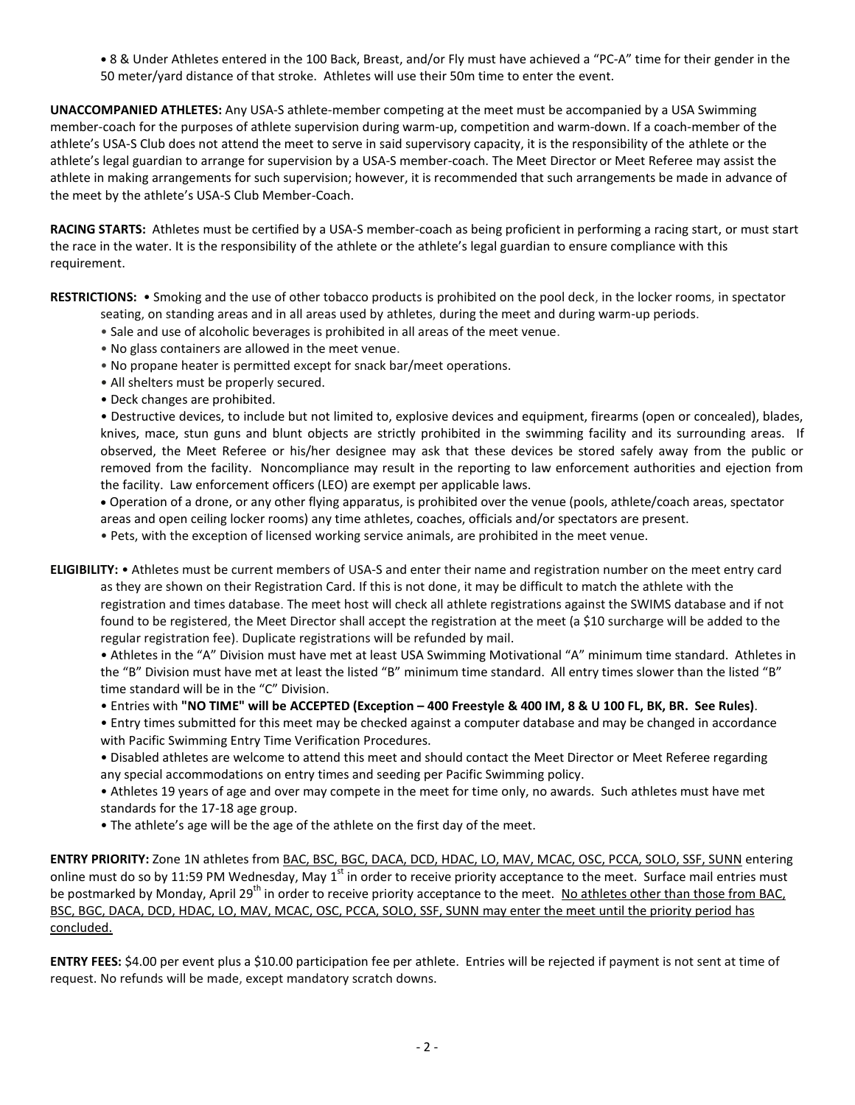**•** 8 & Under Athletes entered in the 100 Back, Breast, and/or Fly must have achieved a "PC-A" time for their gender in the 50 meter/yard distance of that stroke. Athletes will use their 50m time to enter the event.

**UNACCOMPANIED ATHLETES:** Any USA-S athlete-member competing at the meet must be accompanied by a USA Swimming member-coach for the purposes of athlete supervision during warm-up, competition and warm-down. If a coach-member of the athlete's USA-S Club does not attend the meet to serve in said supervisory capacity, it is the responsibility of the athlete or the athlete's legal guardian to arrange for supervision by a USA-S member-coach. The Meet Director or Meet Referee may assist the athlete in making arrangements for such supervision; however, it is recommended that such arrangements be made in advance of the meet by the athlete's USA-S Club Member-Coach.

**RACING STARTS:** Athletes must be certified by a USA-S member-coach as being proficient in performing a racing start, or must start the race in the water. It is the responsibility of the athlete or the athlete's legal guardian to ensure compliance with this requirement.

**RESTRICTIONS:** • Smoking and the use of other tobacco products is prohibited on the pool deck, in the locker rooms, in spectator

- seating, on standing areas and in all areas used by athletes, during the meet and during warm-up periods.
- Sale and use of alcoholic beverages is prohibited in all areas of the meet venue.
- No glass containers are allowed in the meet venue.
- No propane heater is permitted except for snack bar/meet operations.
- All shelters must be properly secured.
- Deck changes are prohibited.

• Destructive devices, to include but not limited to, explosive devices and equipment, firearms (open or concealed), blades, knives, mace, stun guns and blunt objects are strictly prohibited in the swimming facility and its surrounding areas. If observed, the Meet Referee or his/her designee may ask that these devices be stored safely away from the public or removed from the facility. Noncompliance may result in the reporting to law enforcement authorities and ejection from the facility. Law enforcement officers (LEO) are exempt per applicable laws.

 Operation of a drone, or any other flying apparatus, is prohibited over the venue (pools, athlete/coach areas, spectator areas and open ceiling locker rooms) any time athletes, coaches, officials and/or spectators are present.

• Pets, with the exception of licensed working service animals, are prohibited in the meet venue.

**ELIGIBILITY:** • Athletes must be current members of USA-S and enter their name and registration number on the meet entry card as they are shown on their Registration Card. If this is not done, it may be difficult to match the athlete with the registration and times database. The meet host will check all athlete registrations against the SWIMS database and if not found to be registered, the Meet Director shall accept the registration at the meet (a \$10 surcharge will be added to the regular registration fee). Duplicate registrations will be refunded by mail.

• Athletes in the "A" Division must have met at least USA Swimming Motivational "A" minimum time standard. Athletes in the "B" Division must have met at least the listed "B" minimum time standard. All entry times slower than the listed "B" time standard will be in the "C" Division.

- Entries with **"NO TIME" will be ACCEPTED (Exception – 400 Freestyle & 400 IM, 8 & U 100 FL, BK, BR. See Rules)**.
- Entry times submitted for this meet may be checked against a computer database and may be changed in accordance with Pacific Swimming Entry Time Verification Procedures.
- Disabled athletes are welcome to attend this meet and should contact the Meet Director or Meet Referee regarding any special accommodations on entry times and seeding per Pacific Swimming policy.

• Athletes 19 years of age and over may compete in the meet for time only, no awards. Such athletes must have met standards for the 17-18 age group.

• The athlete's age will be the age of the athlete on the first day of the meet.

**ENTRY PRIORITY:** Zone 1N athletes from BAC, BSC, BGC, DACA, DCD, HDAC, LO, MAV, MCAC, OSC, PCCA, SOLO, SSF, SUNN entering online must do so by 11:59 PM Wednesday, May 1<sup>st</sup> in order to receive priority acceptance to the meet. Surface mail entries must be postmarked by Monday, April 29<sup>th</sup> in order to receive priority acceptance to the meet. No athletes other than those from BAC, BSC, BGC, DACA, DCD, HDAC, LO, MAV, MCAC, OSC, PCCA, SOLO, SSF, SUNN may enter the meet until the priority period has concluded.

**ENTRY FEES:** \$4.00 per event plus a \$10.00 participation fee per athlete. Entries will be rejected if payment is not sent at time of request. No refunds will be made, except mandatory scratch downs.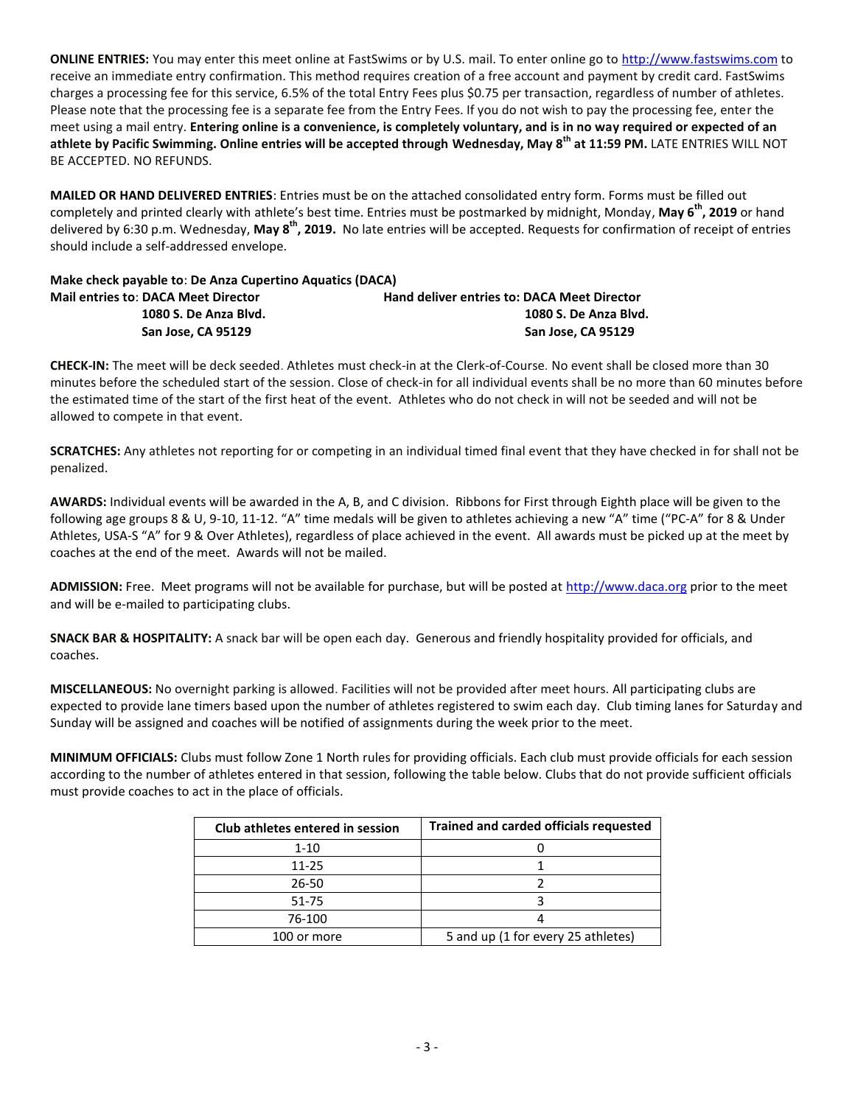**ONLINE ENTRIES:** You may enter this meet online at FastSwims or by U.S. mail. To enter online go to [http://www.fastswims.com](http://www.fastswims.com/) to receive an immediate entry confirmation. This method requires creation of a free account and payment by credit card. FastSwims charges a processing fee for this service, 6.5% of the total Entry Fees plus \$0.75 per transaction, regardless of number of athletes. Please note that the processing fee is a separate fee from the Entry Fees. If you do not wish to pay the processing fee, enter the meet using a mail entry. **Entering online is a convenience, is completely voluntary, and is in no way required or expected of an athlete by Pacific Swimming. Online entries will be accepted through Wednesday, May 8th at 11:59 PM.** LATE ENTRIES WILL NOT BE ACCEPTED. NO REFUNDS.

**MAILED OR HAND DELIVERED ENTRIES**: Entries must be on the attached consolidated entry form. Forms must be filled out completely and printed clearly with athlete's best time. Entries must be postmarked by midnight, Monday, **May 6 th, 2019** or hand delivered by 6:30 p.m. Wednesday, May 8<sup>th</sup>, 2019. No late entries will be accepted. Requests for confirmation of receipt of entries should include a self-addressed envelope.

## **Make check payable to**: **De Anza Cupertino Aquatics (DACA)**

| <b>Mail entries to: DACA Meet Director</b> | <b>Hand deliver entries to: DACA Meet Director</b> |
|--------------------------------------------|----------------------------------------------------|
| 1080 S. De Anza Blyd.                      | 1080 S. De Anza Blvd.                              |
| San Jose. CA 95129                         | San Jose. CA 95129                                 |

**CHECK-IN:** The meet will be deck seeded. Athletes must check-in at the Clerk-of-Course. No event shall be closed more than 30 minutes before the scheduled start of the session. Close of check-in for all individual events shall be no more than 60 minutes before the estimated time of the start of the first heat of the event. Athletes who do not check in will not be seeded and will not be allowed to compete in that event.

**SCRATCHES:** Any athletes not reporting for or competing in an individual timed final event that they have checked in for shall not be penalized.

**AWARDS:** Individual events will be awarded in the A, B, and C division. Ribbons for First through Eighth place will be given to the following age groups 8 & U, 9-10, 11-12. "A" time medals will be given to athletes achieving a new "A" time ("PC-A" for 8 & Under Athletes, USA-S "A" for 9 & Over Athletes), regardless of place achieved in the event. All awards must be picked up at the meet by coaches at the end of the meet. Awards will not be mailed.

**ADMISSION:** Free. Meet programs will not be available for purchase, but will be posted at [http://www.daca.org](http://www.daca.org/) prior to the meet and will be e-mailed to participating clubs.

**SNACK BAR & HOSPITALITY:** A snack bar will be open each day. Generous and friendly hospitality provided for officials, and coaches.

**MISCELLANEOUS:** No overnight parking is allowed. Facilities will not be provided after meet hours. All participating clubs are expected to provide lane timers based upon the number of athletes registered to swim each day. Club timing lanes for Saturday and Sunday will be assigned and coaches will be notified of assignments during the week prior to the meet.

**MINIMUM OFFICIALS:** Clubs must follow Zone 1 North rules for providing officials. Each club must provide officials for each session according to the number of athletes entered in that session, following the table below. Clubs that do not provide sufficient officials must provide coaches to act in the place of officials.

| Club athletes entered in session | <b>Trained and carded officials requested</b> |  |  |  |  |  |
|----------------------------------|-----------------------------------------------|--|--|--|--|--|
| $1 - 10$                         |                                               |  |  |  |  |  |
| $11 - 25$                        |                                               |  |  |  |  |  |
| 26-50                            |                                               |  |  |  |  |  |
| 51-75                            |                                               |  |  |  |  |  |
| 76-100                           |                                               |  |  |  |  |  |
| 100 or more                      | 5 and up (1 for every 25 athletes)            |  |  |  |  |  |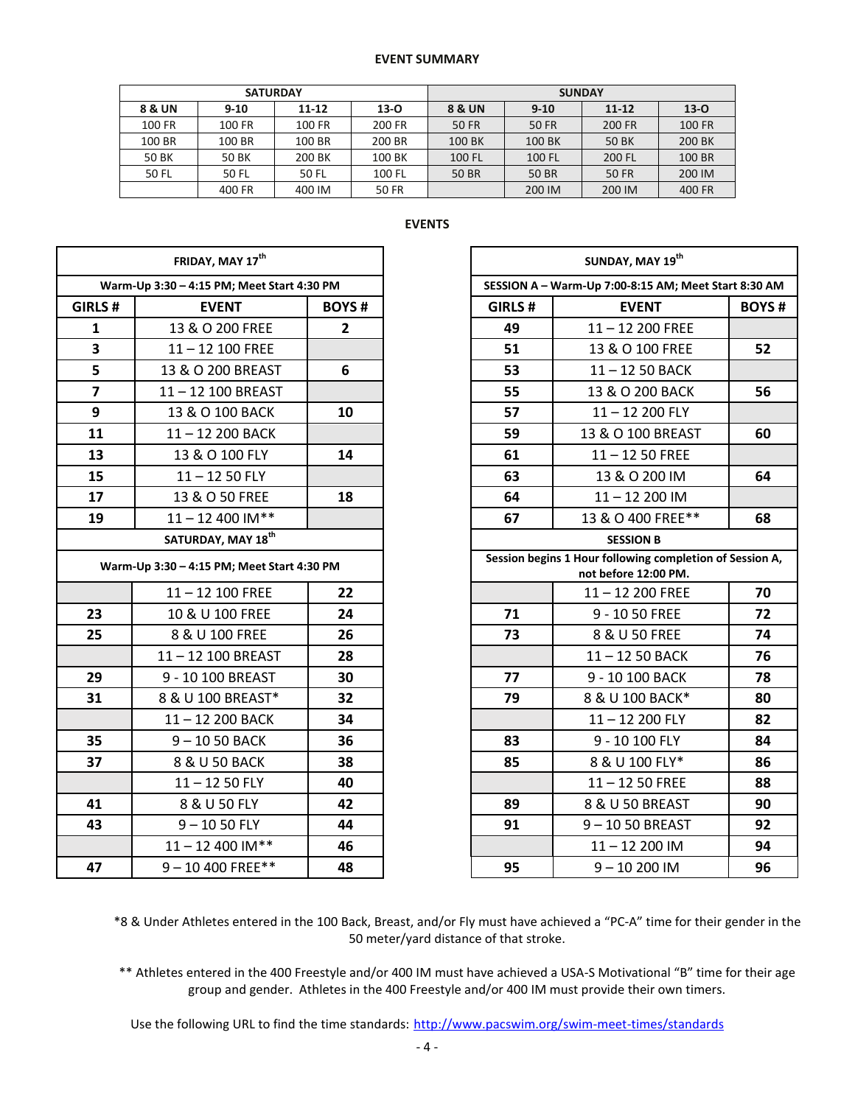## **EVENT SUMMARY**

|        | <b>SATURDAY</b> |           |          | <b>SUNDAY</b> |              |               |          |  |  |
|--------|-----------------|-----------|----------|---------------|--------------|---------------|----------|--|--|
| 8 & UN | $9 - 10$        | $11 - 12$ | $13 - 0$ | 8 & UN        | $9 - 10$     | $11 - 12$     | $13 - 0$ |  |  |
| 100 FR | 100 FR          | 100 FR    | 200 FR   | <b>50 FR</b>  | <b>50 FR</b> | <b>200 FR</b> | 100 FR   |  |  |
| 100 BR | 100 BR          | 100 BR    | 200 BR   | 100 BK        | 100 BK       | <b>50 BK</b>  | 200 BK   |  |  |
| 50 BK  | 50 BK           | 200 BK    | 100 BK   | 100 FL        | 100 FL       | 200 FL        | 100 BR   |  |  |
| 50 FL  | 50 FL           | 50 FL     | 100 FL   | 50 BR         | <b>50 BR</b> | <b>50 FR</b>  | 200 IM   |  |  |
|        | 400 FR          | 400 IM    | 50 FR    |               | 200 IM       | 200 IM        | 400 FR   |  |  |

|                         | FRIDAY, MAY 17th                           |                |         | SUNDAY, MAY 19th                                                                 |              |
|-------------------------|--------------------------------------------|----------------|---------|----------------------------------------------------------------------------------|--------------|
|                         | Warm-Up 3:30 - 4:15 PM; Meet Start 4:30 PM |                |         | SESSION A - Warm-Up 7:00-8:15 AM; Meet Start 8:30 AM                             |              |
| GIRLS#                  | <b>EVENT</b>                               | <b>BOYS#</b>   | GIRLS # | <b>EVENT</b>                                                                     | <b>BOYS#</b> |
| 1                       | 13 & O 200 FREE                            | $\overline{2}$ | 49      | 11-12 200 FREE                                                                   |              |
| 3                       | $11 - 12$ 100 FREE                         |                | 51      | 13 & O 100 FREE                                                                  | 52           |
| 5                       | 13 & O 200 BREAST                          | 6              | 53      | 11-12 50 BACK                                                                    |              |
| $\overline{\mathbf{z}}$ | 11-12 100 BREAST                           |                | 55      | 13 & O 200 BACK                                                                  | 56           |
| 9                       | 13 & O 100 BACK                            | 10             | 57      | $11 - 12200$ FLY                                                                 |              |
| 11                      | 11-12 200 BACK                             |                | 59      | 13 & O 100 BREAST                                                                | 60           |
| 13                      | 13 & O 100 FLY                             | 14             | 61      | $11 - 1250$ FREE                                                                 |              |
| 15                      | $11 - 1250$ FLY                            |                | 63      | 13 & O 200 IM                                                                    | 64           |
| 17                      | 13 & O 50 FREE                             | 18             | 64      | $11 - 12200$ IM                                                                  |              |
| 19                      | $11 - 12400$ IM**                          |                | 67      | 13 & O 400 FREE**                                                                | 68           |
|                         | SATURDAY, MAY 18 <sup>th</sup>             |                |         | <b>SESSION B</b>                                                                 |              |
|                         | Warm-Up 3:30 - 4:15 PM; Meet Start 4:30 PM |                |         | Session begins 1 Hour following completion of Session A,<br>not before 12:00 PM. |              |
|                         | $11 - 12$ 100 FREE                         | 22             |         | $11 - 12200$ FREE                                                                | 70           |
| 23                      | 10 & U 100 FREE                            | 24             | 71      | 9 - 10 50 FREE                                                                   | 72           |
| 25                      | 8 & U 100 FREE                             | 26             | 73      | 8 & U 50 FREE                                                                    | 74           |
|                         | 11-12 100 BREAST                           | 28             |         | 11-12 50 BACK                                                                    | 76           |
| 29                      | 9 - 10 100 BREAST                          | 30             | 77      | 9 - 10 100 BACK                                                                  | 78           |
| 31                      | 8 & U 100 BREAST*                          | 32             | 79      | 8 & U 100 BACK*                                                                  | 80           |
|                         | 11-12 200 BACK                             | 34             |         | 11-12 200 FLY                                                                    | 82           |
| 35                      | $9 - 1050$ BACK                            | 36             | 83      | 9 - 10 100 FLY                                                                   | 84           |
| 37                      | 8 & U 50 BACK                              | 38             | 85      | 8 & U 100 FLY*                                                                   | 86           |
|                         | $11 - 1250$ FLY                            | 40             |         | $11 - 1250$ FREE                                                                 | 88           |
| 41                      | 8 & U 50 FLY                               | 42             | 89      | 8 & U 50 BREAST                                                                  | 90           |
| 43                      | $9 - 1050$ FLY                             | 44             | 91      | 9-1050 BREAST                                                                    | 92           |
|                         | $11 - 12$ 400 IM**                         | 46             |         | $11 - 12200$ IM                                                                  | 94           |
| 47                      | $9 - 10$ 400 FREE**                        | 48             | 95      | $9 - 10200$ IM                                                                   | 96           |

| FRIDAY, MAY 17 <sup>th</sup>               |                                            |                |
|--------------------------------------------|--------------------------------------------|----------------|
|                                            | Warm-Up 3:30 - 4:15 PM; Meet Start 4:30 PM |                |
| S#                                         | <b>EVENT</b><br><b>BOYS#</b>               |                |
|                                            | 13 & O 200 FREE                            | $\overline{2}$ |
|                                            | $11 - 12$ 100 FREE                         |                |
|                                            | 13 & O 200 BREAST                          | 6              |
|                                            | 11-12 100 BREAST                           |                |
|                                            | 13 & O 100 BACK                            | 10             |
|                                            | 11-12 200 BACK                             |                |
|                                            | 13 & O 100 FLY                             | 14             |
|                                            | $11 - 1250$ FLY                            |                |
|                                            | 13 & O 50 FREE                             | 18             |
|                                            | 11-12 400 IM**                             |                |
|                                            | SATURDAY, MAY 18 <sup>th</sup>             |                |
| Warm-Up 3:30 - 4:15 PM; Meet Start 4:30 PM |                                            |                |
|                                            |                                            |                |
|                                            | $11 - 12$ 100 FREE                         | 22             |
|                                            | 10 & U 100 FREE                            | 24             |
|                                            | 8 & U 100 FREE                             | 26             |
|                                            | 11-12 100 BREAST                           | 28             |
|                                            | 9 - 10 100 BREAST                          | 30             |
|                                            | 8 & U 100 BREAST*                          | 32             |
|                                            | 11-12 200 BACK                             | 34             |
|                                            | $9 - 1050$ BACK                            | 36             |
|                                            | 8 & U 50 BACK                              | 38             |
|                                            | $11 - 1250$ FLY                            | 40             |
|                                            | 8 & U 50 FLY                               | 42             |
|                                            | $9 - 1050$ FLY                             | 44             |
|                                            | $11 - 12$ 400 IM**                         | 46             |
|                                            | $9 - 10$ $100$ ERFF**                      | 48             |

\*8 & Under Athletes entered in the 100 Back, Breast, and/or Fly must have achieved a "PC-A" time for their gender in the 50 meter/yard distance of that stroke.

\*\* Athletes entered in the 400 Freestyle and/or 400 IM must have achieved a USA-S Motivational "B" time for their age group and gender. Athletes in the 400 Freestyle and/or 400 IM must provide their own timers.

Use the following URL to find the time standards: <http://www.pacswim.org/swim-meet-times/standards>